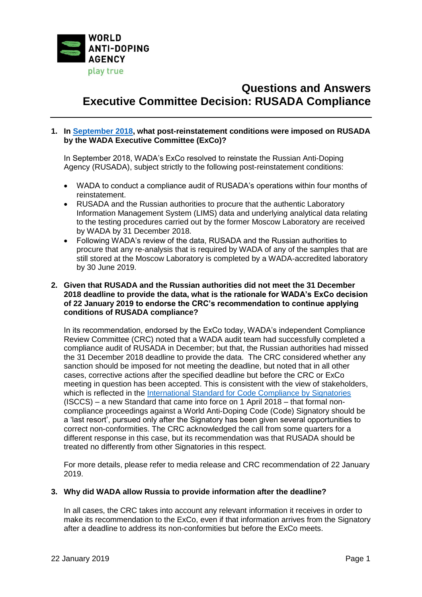

# **Questions and Answers Executive Committee Decision: RUSADA Compliance**

# **1. In [September 2018,](https://www.wada-ama.org/en/media/news/2018-09/wada-executive-committee-decides-to-reinstate-rusada-subject-to-strict-conditions) what post-reinstatement conditions were imposed on RUSADA by the WADA Executive Committee (ExCo)?**

In September 2018, WADA's ExCo resolved to reinstate the Russian Anti-Doping Agency (RUSADA), subject strictly to the following post-reinstatement conditions:

- WADA to conduct a compliance audit of RUSADA's operations within four months of reinstatement.
- RUSADA and the Russian authorities to procure that the authentic Laboratory Information Management System (LIMS) data and underlying analytical data relating to the testing procedures carried out by the former Moscow Laboratory are received by WADA by 31 December 2018.
- Following WADA's review of the data, RUSADA and the Russian authorities to procure that any re-analysis that is required by WADA of any of the samples that are still stored at the Moscow Laboratory is completed by a WADA-accredited laboratory by 30 June 2019.

## **2. Given that RUSADA and the Russian authorities did not meet the 31 December 2018 deadline to provide the data, what is the rationale for WADA's ExCo decision of 22 January 2019 to endorse the CRC's recommendation to continue applying conditions of RUSADA compliance?**

In its recommendation, endorsed by the ExCo today, WADA's independent Compliance Review Committee (CRC) noted that a WADA audit team had successfully completed a compliance audit of RUSADA in December; but that, the Russian authorities had missed the 31 December 2018 deadline to provide the data. The CRC considered whether any sanction should be imposed for not meeting the deadline, but noted that in all other cases, corrective actions after the specified deadline but before the CRC or ExCo meeting in question has been accepted. This is consistent with the view of stakeholders, which is reflected in the [International Standard for Code Compliance by Signatories](https://www.wada-ama.org/en/resources/code-compliance/international-standard-for-code-compliance-by-signatories-isccs) (ISCCS) – a new Standard that came into force on 1 April 2018 – that formal noncompliance proceedings against a World Anti-Doping Code (Code) Signatory should be a 'last resort', pursued only after the Signatory has been given several opportunities to correct non-conformities. The CRC acknowledged the call from some quarters for a different response in this case, but its recommendation was that RUSADA should be treated no differently from other Signatories in this respect.

For more details, please refer to media release and CRC recommendation of 22 January 2019.

#### **3. Why did WADA allow Russia to provide information after the deadline?**

In all cases, the CRC takes into account any relevant information it receives in order to make its recommendation to the ExCo, even if that information arrives from the Signatory after a deadline to address its non-conformities but before the ExCo meets.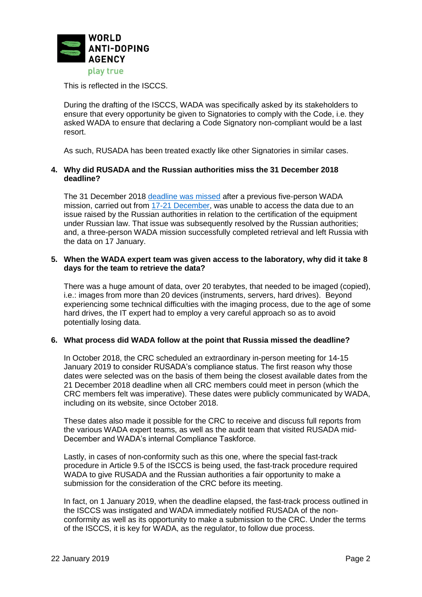

This is reflected in the ISCCS.

During the drafting of the ISCCS, WADA was specifically asked by its stakeholders to ensure that every opportunity be given to Signatories to comply with the Code, i.e. they asked WADA to ensure that declaring a Code Signatory non-compliant would be a last resort.

As such, RUSADA has been treated exactly like other Signatories in similar cases.

## **4. Why did RUSADA and the Russian authorities miss the 31 December 2018 deadline?**

The 31 December 2018 [deadline was missed](https://www.wada-ama.org/en/media/news/2019-01/wada-update-on-extraction-of-moscow-laboratory-data-and-rusada-compliance-status) after a previous five-person WADA mission, carried out from [17-21 December,](https://www.wada-ama.org/en/media/news/2018-12/update-on-wada-mission-to-extract-moscow-laboratory-data) was unable to access the data due to an issue raised by the Russian authorities in relation to the certification of the equipment under Russian law. That issue was subsequently resolved by the Russian authorities; and, a three-person WADA mission successfully completed retrieval and left Russia with the data on 17 January.

#### **5. When the WADA expert team was given access to the laboratory, why did it take 8 days for the team to retrieve the data?**

There was a huge amount of data, over 20 terabytes, that needed to be imaged (copied), i.e.: images from more than 20 devices (instruments, servers, hard drives). Beyond experiencing some technical difficulties with the imaging process, due to the age of some hard drives, the IT expert had to employ a very careful approach so as to avoid potentially losing data.

#### **6. What process did WADA follow at the point that Russia missed the deadline?**

In October 2018, the CRC scheduled an extraordinary in-person meeting for 14-15 January 2019 to consider RUSADA's compliance status. The first reason why those dates were selected was on the basis of them being the closest available dates from the 21 December 2018 deadline when all CRC members could meet in person (which the CRC members felt was imperative). These dates were publicly communicated by WADA, including on its website, since October 2018.

These dates also made it possible for the CRC to receive and discuss full reports from the various WADA expert teams, as well as the audit team that visited RUSADA mid-December and WADA's internal Compliance Taskforce.

Lastly, in cases of non-conformity such as this one, where the special fast-track procedure in Article 9.5 of the ISCCS is being used, the fast-track procedure required WADA to give RUSADA and the Russian authorities a fair opportunity to make a submission for the consideration of the CRC before its meeting.

In fact, on 1 January 2019, when the deadline elapsed, the fast-track process outlined in the ISCCS was instigated and WADA immediately notified RUSADA of the nonconformity as well as its opportunity to make a submission to the CRC. Under the terms of the ISCCS, it is key for WADA, as the regulator, to follow due process.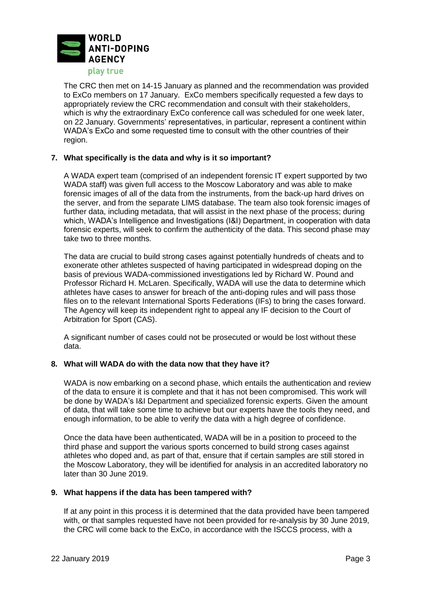

The CRC then met on 14-15 January as planned and the recommendation was provided to ExCo members on 17 January. ExCo members specifically requested a few days to appropriately review the CRC recommendation and consult with their stakeholders, which is why the extraordinary ExCo conference call was scheduled for one week later, on 22 January. Governments' representatives, in particular, represent a continent within WADA's ExCo and some requested time to consult with the other countries of their region.

## **7. What specifically is the data and why is it so important?**

A WADA expert team (comprised of an independent forensic IT expert supported by two WADA staff) was given full access to the Moscow Laboratory and was able to make forensic images of all of the data from the instruments, from the back-up hard drives on the server, and from the separate LIMS database. The team also took forensic images of further data, including metadata, that will assist in the next phase of the process; during which, WADA's Intelligence and Investigations (I&I) Department, in cooperation with data forensic experts, will seek to confirm the authenticity of the data. This second phase may take two to three months.

The data are crucial to build strong cases against potentially hundreds of cheats and to exonerate other athletes suspected of having participated in widespread doping on the basis of previous WADA-commissioned investigations led by Richard W. Pound and Professor Richard H. McLaren. Specifically, WADA will use the data to determine which athletes have cases to answer for breach of the anti-doping rules and will pass those files on to the relevant International Sports Federations (IFs) to bring the cases forward. The Agency will keep its independent right to appeal any IF decision to the Court of Arbitration for Sport (CAS).

A significant number of cases could not be prosecuted or would be lost without these data.

#### **8. What will WADA do with the data now that they have it?**

WADA is now embarking on a second phase, which entails the authentication and review of the data to ensure it is complete and that it has not been compromised. This work will be done by WADA's I&I Department and specialized forensic experts. Given the amount of data, that will take some time to achieve but our experts have the tools they need, and enough information, to be able to verify the data with a high degree of confidence.

Once the data have been authenticated, WADA will be in a position to proceed to the third phase and support the various sports concerned to build strong cases against athletes who doped and, as part of that, ensure that if certain samples are still stored in the Moscow Laboratory, they will be identified for analysis in an accredited laboratory no later than 30 June 2019.

## **9. What happens if the data has been tampered with?**

If at any point in this process it is determined that the data provided have been tampered with, or that samples requested have not been provided for re-analysis by 30 June 2019, the CRC will come back to the ExCo, in accordance with the ISCCS process, with a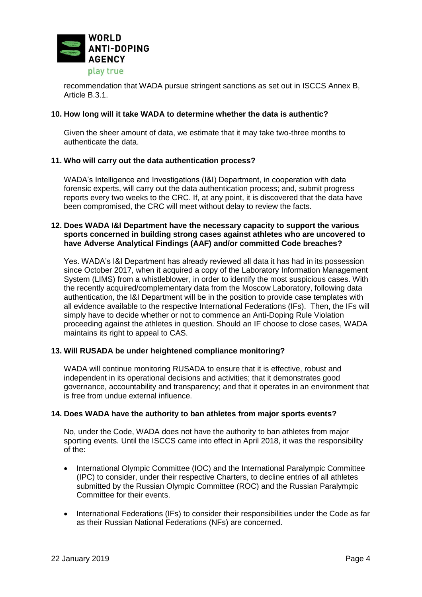

recommendation that WADA pursue stringent sanctions as set out in ISCCS Annex B, Article B.3.1.

## **10. How long will it take WADA to determine whether the data is authentic?**

Given the sheer amount of data, we estimate that it may take two-three months to authenticate the data.

## **11. Who will carry out the data authentication process?**

WADA's Intelligence and Investigations (I&I) Department, in cooperation with data forensic experts, will carry out the data authentication process; and, submit progress reports every two weeks to the CRC. If, at any point, it is discovered that the data have been compromised, the CRC will meet without delay to review the facts.

## **12. Does WADA I&I Department have the necessary capacity to support the various sports concerned in building strong cases against athletes who are uncovered to have Adverse Analytical Findings (AAF) and/or committed Code breaches?**

Yes. WADA's I&I Department has already reviewed all data it has had in its possession since October 2017, when it acquired a copy of the Laboratory Information Management System (LIMS) from a whistleblower, in order to identify the most suspicious cases. With the recently acquired/complementary data from the Moscow Laboratory, following data authentication, the I&I Department will be in the position to provide case templates with all evidence available to the respective International Federations (IFs). Then, the IFs will simply have to decide whether or not to commence an Anti-Doping Rule Violation proceeding against the athletes in question. Should an IF choose to close cases, WADA maintains its right to appeal to CAS.

# **13. Will RUSADA be under heightened compliance monitoring?**

WADA will continue monitoring RUSADA to ensure that it is effective, robust and independent in its operational decisions and activities; that it demonstrates good governance, accountability and transparency; and that it operates in an environment that is free from undue external influence.

#### **14. Does WADA have the authority to ban athletes from major sports events?**

No, under the Code, WADA does not have the authority to ban athletes from major sporting events. Until the ISCCS came into effect in April 2018, it was the responsibility of the:

- International Olympic Committee (IOC) and the International Paralympic Committee (IPC) to consider, under their respective Charters, to decline entries of all athletes submitted by the Russian Olympic Committee (ROC) and the Russian Paralympic Committee for their events.
- International Federations (IFs) to consider their responsibilities under the Code as far as their Russian National Federations (NFs) are concerned.